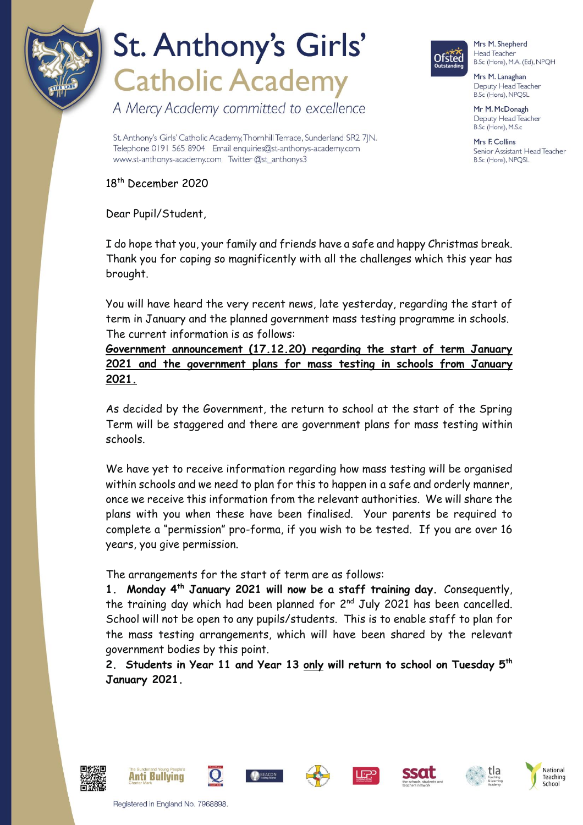

A Mercy Academy committed to excellence



Mrs M. Shepherd Head Teacher B.Sc (Hons), M.A. (Ed), NPQH

Mrs M. Lanaghan Deputy Head Teacher B.Sc (Hons), NPQSL

Mr M. McDonagh Deputy Head Teacher B.Sc (Hons), M.S.c

Mrs F Collins Senior Assistant Head Teacher B.Sc (Hons), NPQSL

St. Anthony's Girls' Catholic Academy, Thornhill Terrace, Sunderland SR2 7|N. Telephone 0191 565 8904 Email enquiries@st-anthonys-academy.com www.st-anthonys-academy.com Twitter @st\_anthonys3

18 th December 2020

Dear Pupil/Student,

I do hope that you, your family and friends have a safe and happy Christmas break. Thank you for coping so magnificently with all the challenges which this year has brought.

You will have heard the very recent news, late yesterday, regarding the start of term in January and the planned government mass testing programme in schools. The current information is as follows:

**Government announcement (17.12.20) regarding the start of term January 2021 and the government plans for mass testing in schools from January 2021.**

As decided by the Government, the return to school at the start of the Spring Term will be staggered and there are government plans for mass testing within schools.

We have yet to receive information regarding how mass testing will be organised within schools and we need to plan for this to happen in a safe and orderly manner, once we receive this information from the relevant authorities. We will share the plans with you when these have been finalised. Your parents be required to complete a "permission" pro-forma, if you wish to be tested. If you are over 16 years, you give permission.

The arrangements for the start of term are as follows:

**1. Monday 4th January 2021 will now be a staff training day.** Consequently, the training day which had been planned for 2<sup>nd</sup> July 2021 has been cancelled. School will not be open to any pupils/students. This is to enable staff to plan for the mass testing arrangements, which will have been shared by the relevant government bodies by this point.

**2. Students in Year 11 and Year 13 only will return to school on Tuesday 5th January 2021.**













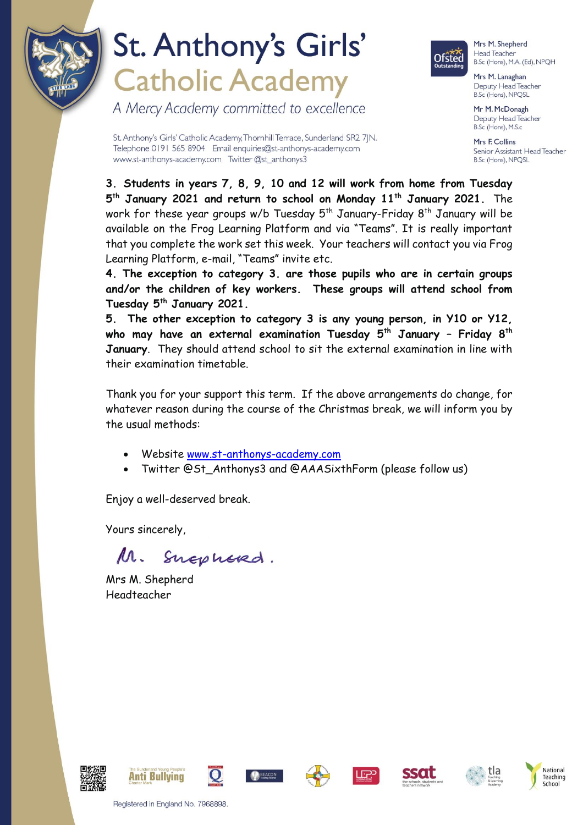

A Mercy Academy committed to excellence



Mrs M. Shepherd Head Teacher B.Sc (Hons), M.A. (Ed), NPQH

Mrs M. Lanaghan Deputy Head Teacher B.Sc (Hons), NPQSL

Mr M. McDonagh Deputy Head Teacher B.Sc (Hons), M.S.c

Mrs E Collins Senior Assistant Head Teacher B.Sc (Hons), NPQSL

St. Anthony's Girls' Catholic Academy, Thornhill Terrace, Sunderland SR2 7|N. Telephone 0191 565 8904 Email enquiries@st-anthonys-academy.com www.st-anthonys-academy.com Twitter @st\_anthonys3

**3. Students in years 7, 8, 9, 10 and 12 will work from home from Tuesday 5 th January 2021 and return to school on Monday 11th January 2021.** The work for these year groups w/b Tuesday  $5<sup>th</sup>$  January-Friday  $8<sup>th</sup>$  January will be available on the Frog Learning Platform and via "Teams". It is really important that you complete the work set this week. Your teachers will contact you via Frog Learning Platform, e-mail, "Teams" invite etc.

**4. The exception to category 3. are those pupils who are in certain groups and/or the children of key workers. These groups will attend school from Tuesday 5th January 2021.** 

**5. The other exception to category 3 is any young person, in Y10 or Y12, who may have an external examination Tuesday 5th January – Friday 8th January**. They should attend school to sit the external examination in line with their examination timetable.

Thank you for your support this term. If the above arrangements do change, for whatever reason during the course of the Christmas break, we will inform you by the usual methods:

- Website [www.st-anthonys-academy.com](http://www.st-anthonys-academy.com/)
- Twitter @St\_Anthonys3 and @AAASixthForm (please follow us)

Enjoy a well-deserved break.

Yours sincerely,

 $M$ . Snephered.

Mrs M. Shepherd Headteacher

















Registered in England No. 7968898.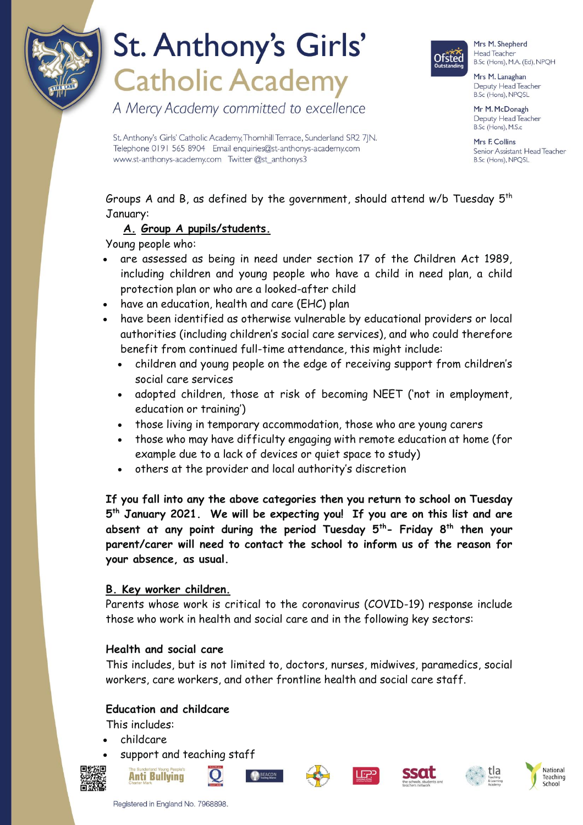

A Mercy Academy committed to excellence



Mrs M. Shepherd Head Teacher B.Sc (Hons), M.A. (Ed), NPQH

Mrs M. Lanaghan Deputy Head Teacher B.Sc (Hons), NPQSL

Mr M. McDonagh Deputy Head Teacher B.Sc (Hons), M.S.c

Mrs F Collins Senior Assistant Head Teacher B.Sc (Hons), NPQSL

St. Anthony's Girls' Catholic Academy, Thornhill Terrace, Sunderland SR2 7|N. Telephone 0191 565 8904 Email enquiries@st-anthonys-academy.com www.st-anthonys-academy.com Twitter @st\_anthonys3

Groups A and B, as defined by the government, should attend  $w/b$  Tuesday  $5<sup>th</sup>$ January:

### **A. Group A pupils/students.**

Young people who:

- are assessed as being in need under section 17 of the Children Act 1989, including children and young people who have a child in need plan, a child protection plan or who are a looked-after child
- have an education, health and care (EHC) plan
- have been identified as otherwise vulnerable by educational providers or local authorities (including children's social care services), and who could therefore benefit from continued full-time attendance, this might include:
	- children and young people on the edge of receiving support from children's social care services
	- adopted children, those at risk of becoming NEET ('not in employment, education or training')
	- those living in temporary accommodation, those who are young carers
	- those who may have difficulty engaging with remote education at home (for example due to a lack of devices or quiet space to study)
	- others at the provider and local authority's discretion

**If you fall into any the above categories then you return to school on Tuesday 5 th January 2021. We will be expecting you! If you are on this list and are absent at any point during the period Tuesday 5th- Friday 8th then your parent/carer will need to contact the school to inform us of the reason for your absence, as usual.**

### **B. Key worker children.**

Parents whose work is critical to the coronavirus (COVID-19) response include those who work in health and social care and in the following key sectors:

#### **Health and social care**

This includes, but is not limited to, doctors, nurses, midwives, paramedics, social workers, care workers, and other frontline health and social care staff.

### **Education and childcare**

This includes:

- childcare
- support and teaching staff















**Anti Bullying**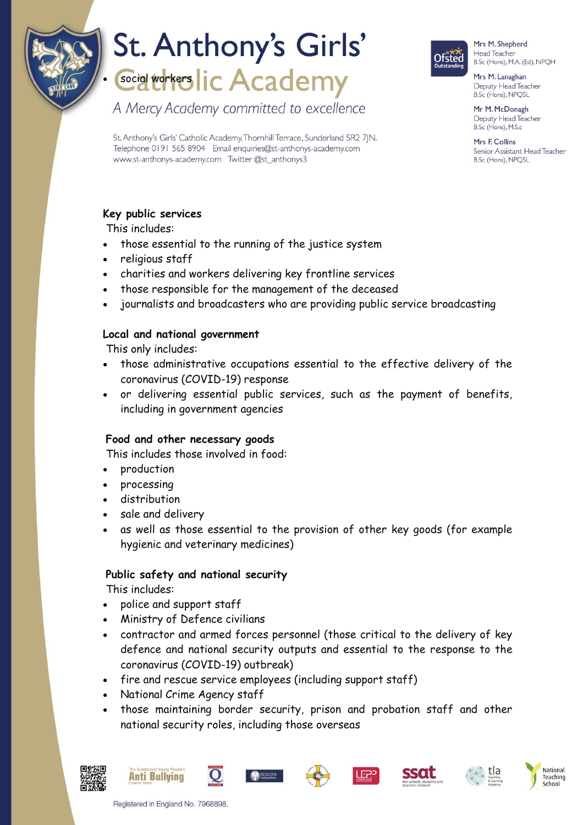

### St. Anthony's Girls' **Social Workers lic Academy**

A Mercy Academy committed to excellence

**Ofsted** 

Mrs M. Shepherd Head Teacher B.Sc (Hons), M.A. (Ed), NPQH

Mrs M. Lanaghan Deputy Head Teacher B.Sc (Hons), NPQSL

Mr M. McDonagh Deputy Head Teacher B.Sc (Hons), M.S.c

Mrs F Collins Senior Assistant Head Teacher B.Sc (Hons), NPQSL

St. Anthony's Girls' Catholic Academy, Thornhill Terrace, Sunderland SR2 7|N. Telephone 0191 565 8904 Email enquiries@st-anthonys-academy.com www.st-anthonys-academy.com Twitter @st\_anthonys3

### **Key public services**

This includes:

- those essential to the running of the justice system
- religious staff
- charities and workers delivering key frontline services
- those responsible for the management of the deceased
- journalists and broadcasters who are providing public service broadcasting

### **Local and national government**

This only includes:

- those administrative occupations essential to the effective delivery of the coronavirus (COVID-19) response
- or delivering essential public services, such as the payment of benefits, including in government agencies

### **Food and other necessary goods**

This includes those involved in food:

- production
- processing
- distribution
- sale and delivery
- as well as those essential to the provision of other key goods (for example hygienic and veterinary medicines)

### **Public safety and national security**

This includes:

- police and support staff
- Ministry of Defence civilians
- contractor and armed forces personnel (those critical to the delivery of key defence and national security outputs and essential to the response to the coronavirus (COVID-19) outbreak)
- fire and rescue service employees (including support staff)
- National Crime Agency staff
- those maintaining border security, prison and probation staff and other national security roles, including those overseas